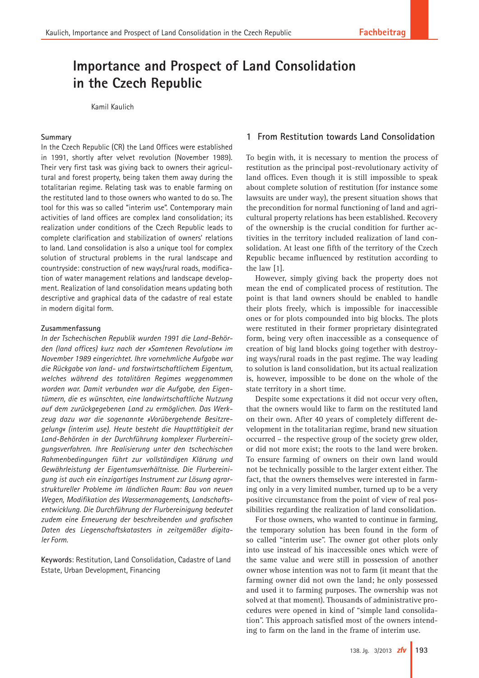# **Importance and Prospect of Land Consolidation in the Czech Republic**

Kamil Kaulich

#### **Summary**

In the Czech Republic (CR) the Land Offices were established in 1991, shortly after velvet revolution (November 1989). Their very first task was giving back to owners their agricultural and forest property, being taken them away during the totalitarian regime. Relating task was to enable farming on the restituted land to those owners who wanted to do so. The tool for this was so called "interim use". Contemporary main activities of land offices are complex land consolidation; its realization under conditions of the Czech Republic leads to complete clarification and stabilization of owners' relations to land. Land consolidation is also a unique tool for complex solution of structural problems in the rural landscape and countryside: construction of new ways/rural roads, modification of water management relations and landscape development. Realization of land consolidation means updating both descriptive and graphical data of the cadastre of real estate in modern digital form.

#### **Zusammenfassung**

*In der Tschechischen Republik wurden 1991 die Land-Behörden (land offices) kurz nach der »Samtenen Revolution« im November 1989 eingerichtet. Ihre vornehmliche Aufgabe war die Rückgabe von land- und forstwirtschaftlichem Eigentum, welches während des totalitären Regimes weggenommen worden war. Damit verbunden war die Aufgabe, den Eigentümern, die es wünschten, eine landwirtschaftliche Nutzung auf dem zurückgegebenen Land zu ermöglichen. Das Werkzeug dazu war die sogenannte »Vorübergehende Besitzregelung« (interim use). Heute besteht die Haupttätigkeit der Land-Behörden in der Durchführung komplexer Flurbereinigungsverfahren. Ihre Realisierung unter den tschechischen Rahmenbedingungen führt zur vollständigen Klärung und Gewährleistung der Eigentumsverhältnisse. Die Flurbereinigung ist auch ein einzigartiges Instrument zur Lösung agrarstruktureller Probleme im ländlichen Raum: Bau von neuen Wegen, Modifikation des Wassermanagements, Landschaftsentwicklung. Die Durchführung der Flurbereinigung bedeutet zudem eine Erneuerung der beschreibenden und grafischen Daten des Liegenschaftskatasters in zeitgemäßer digitaler Form.*

**Keywords**: Restitution, Land Consolidation, Cadastre of Land Estate, Urban Development, Financing

## **1 From Restitution towards Land Consolidation**

To begin with, it is necessary to mention the process of restitution as the principal post-revolutionary activity of land offices. Even though it is still impossible to speak about complete solution of restitution (for instance some lawsuits are under way), the present situation shows that the precondition for normal functioning of land and agricultural property relations has been established. Recovery of the ownership is the crucial condition for further activities in the territory included realization of land consolidation. At least one fifth of the territory of the Czech Republic became influenced by restitution according to the law [1].

However, simply giving back the property does not mean the end of complicated process of restitution. The point is that land owners should be enabled to handle their plots freely, which is impossible for inaccessible ones or for plots compounded into big blocks. The plots were restituted in their former proprietary disintegrated form, being very often inaccessible as a consequence of creation of big land blocks going together with destroying ways/rural roads in the past regime. The way leading to solution is land consolidation, but its actual realization is, however, impossible to be done on the whole of the state territory in a short time.

Despite some expectations it did not occur very often, that the owners would like to farm on the restituted land on their own. After 40 years of completely different development in the totalitarian regime, brand new situation occurred – the respective group of the society grew older, or did not more exist; the roots to the land were broken. To ensure farming of owners on their own land would not be technically possible to the larger extent either. The fact, that the owners themselves were interested in farming only in a very limited number, turned up to be a very positive circumstance from the point of view of real possibilities regarding the realization of land consolidation.

For those owners, who wanted to continue in farming, the temporary solution has been found in the form of so called "interim use". The owner got other plots only into use instead of his inaccessible ones which were of the same value and were still in possession of another owner whose intention was not to farm (it meant that the farming owner did not own the land; he only possessed and used it to farming purposes. The ownership was not solved at that moment). Thousands of administrative procedures were opened in kind of "simple land consolidation". This approach satisfied most of the owners intending to farm on the land in the frame of interim use.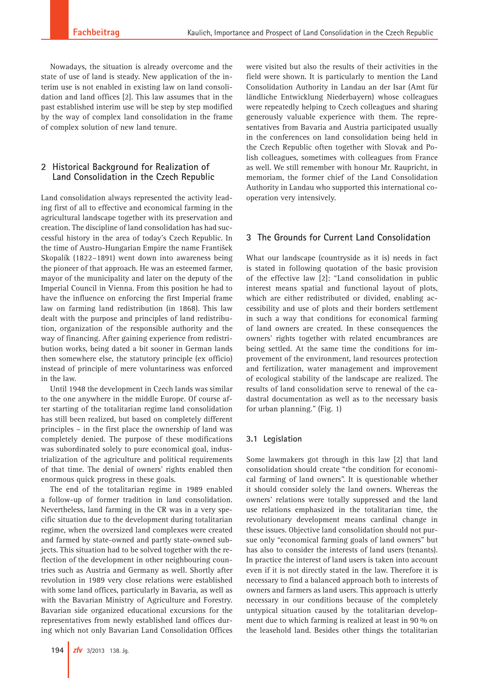Nowadays, the situation is already overcome and the state of use of land is steady. New application of the interim use is not enabled in existing law on land consolidation and land offices [2]. This law assumes that in the past established interim use will be step by step modified by the way of complex land consolidation in the frame of complex solution of new land tenure.

## **2 Historical Background for Realization of Land Consolidation in the Czech Republic**

Land consolidation always represented the activity leading first of all to effective and economical farming in the agricultural landscape together with its preservation and creation. The discipline of land consolidation has had successful history in the area of today's Czech Republic. In the time of Austro-Hungarian Empire the name František Skopalík (1822–1891) went down into awareness being the pioneer of that approach. He was an esteemed farmer, mayor of the municipality and later on the deputy of the Imperial Council in Vienna. From this position he had to have the influence on enforcing the first Imperial frame law on farming land redistribution (in 1868). This law dealt with the purpose and principles of land redistribution, organization of the responsible authority and the way of financing. After gaining experience from redistribution works, being dated a bit sooner in German lands then somewhere else, the statutory principle (ex officio) instead of principle of mere voluntariness was enforced in the law.

Until 1948 the development in Czech lands was similar to the one anywhere in the middle Europe. Of course after starting of the totalitarian regime land consolidation has still been realized, but based on completely different principles – in the first place the ownership of land was completely denied. The purpose of these modifications was subordinated solely to pure economical goal, industrialization of the agriculture and political requirements of that time. The denial of owners' rights enabled then enormous quick progress in these goals.

The end of the totalitarian regime in 1989 enabled a follow-up of former tradition in land consolidation. Nevertheless, land farming in the CR was in a very specific situation due to the development during totalitarian regime, when the oversized land complexes were created and farmed by state-owned and partly state-owned subjects. This situation had to be solved together with the reflection of the development in other neighbouring countries such as Austria and Germany as well. Shortly after revolution in 1989 very close relations were established with some land offices, particularly in Bavaria, as well as with the Bavarian Ministry of Agriculture and Forestry. Bavarian side organized educational excursions for the representatives from newly established land offices during which not only Bavarian Land Consolidation Offices were visited but also the results of their activities in the field were shown. It is particularly to mention the Land Consolidation Authority in Landau an der Isar (Amt für ländliche Entwicklung Niederbayern) whose colleagues were repeatedly helping to Czech colleagues and sharing generously valuable experience with them. The representatives from Bavaria and Austria participated usually in the conferences on land consolidation being held in the Czech Republic often together with Slovak and Polish colleagues, sometimes with colleagues from France as well. We still remember with honour Mr. Raupricht, in memoriam, the former chief of the Land Consolidation Authority in Landau who supported this international cooperation very intensively.

# **3 The Grounds for Current Land Consolidation**

What our landscape (countryside as it is) needs in fact is stated in following quotation of the basic provision of the effective law [2]: "Land consolidation in public interest means spatial and functional layout of plots, which are either redistributed or divided, enabling accessibility and use of plots and their borders settlement in such a way that conditions for economical farming of land owners are created. In these consequences the owners' rights together with related encumbrances are being settled. At the same time the conditions for improvement of the environment, land resources protection and fertilization, water management and improvement of ecological stability of the landscape are realized. The results of land consolidation serve to renewal of the cadastral documentation as well as to the necessary basis for urban planning." (Fig. 1)

# **3.1 Legislation**

Some lawmakers got through in this law [2] that land consolidation should create "the condition for economical farming of land owners". It is questionable whether it should consider solely the land owners. Whereas the owners' relations were totally suppressed and the land use relations emphasized in the totalitarian time, the revolutionary development means cardinal change in these issues. Objective land consolidation should not pursue only "economical farming goals of land owners" but has also to consider the interests of land users (tenants). In practice the interest of land users is taken into account even if it is not directly stated in the law. Therefore it is necessary to find a balanced approach both to interests of owners and farmers as land users. This approach is utterly necessary in our conditions because of the completely untypical situation caused by the totalitarian development due to which farming is realized at least in 90 % on the leasehold land. Besides other things the totalitarian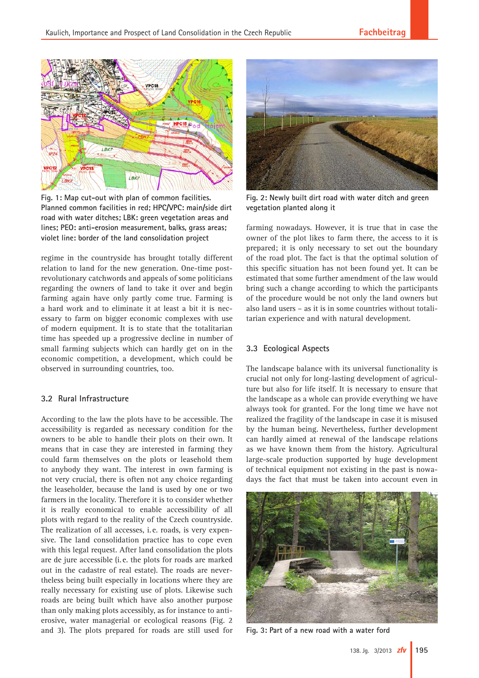

**Fig. 1: Map cut-out with plan of common facilities. Planned common facilities in red; HPC/VPC: main/side dirt road with water ditches; LBK: green vegetation areas and lines; PEO: anti-erosion measurement, balks, grass areas; violet line: border of the land consolidation project**

regime in the countryside has brought totally different relation to land for the new generation. One-time postrevolutionary catchwords and appeals of some politicians regarding the owners of land to take it over and begin farming again have only partly come true. Farming is a hard work and to eliminate it at least a bit it is necessary to farm on bigger economic complexes with use of modern equipment. It is to state that the totalitarian time has speeded up a progressive decline in number of small farming subjects which can hardly get on in the economic competition, a development, which could be observed in surrounding countries, too.

### **3.2 Rural Infrastructure**

According to the law the plots have to be accessible. The accessibility is regarded as necessary condition for the owners to be able to handle their plots on their own. It means that in case they are interested in farming they could farm themselves on the plots or leasehold them to anybody they want. The interest in own farming is not very crucial, there is often not any choice regarding the leaseholder, because the land is used by one or two farmers in the locality. Therefore it is to consider whether it is really economical to enable accessibility of all plots with regard to the reality of the Czech countryside. The realization of all accesses, i. e. roads, is very expensive. The land consolidation practice has to cope even with this legal request. After land consolidation the plots are de jure accessible (i. e. the plots for roads are marked out in the cadastre of real estate). The roads are nevertheless being built especially in locations where they are really necessary for existing use of plots. Likewise such roads are being built which have also another purpose than only making plots accessibly, as for instance to antierosive, water managerial or ecological reasons (Fig. 2 and 3). The plots prepared for roads are still used for



**Fig. 2: Newly built dirt road with water ditch and green vegetation planted along it**

farming nowadays. However, it is true that in case the owner of the plot likes to farm there, the access to it is prepared; it is only necessary to set out the boundary of the road plot. The fact is that the optimal solution of this specific situation has not been found yet. It can be estimated that some further amendment of the law would bring such a change according to which the participants of the procedure would be not only the land owners but also land users – as it is in some countries without totalitarian experience and with natural development.

## **3.3 Ecological Aspects**

The landscape balance with its universal functionality is crucial not only for long-lasting development of agriculture but also for life itself. It is necessary to ensure that the landscape as a whole can provide everything we have always took for granted. For the long time we have not realized the fragility of the landscape in case it is misused by the human being. Nevertheless, further development can hardly aimed at renewal of the landscape relations as we have known them from the history. Agricultural large-scale production supported by huge development of technical equipment not existing in the past is nowadays the fact that must be taken into account even in



**Fig. 3: Part of a new road with a water ford**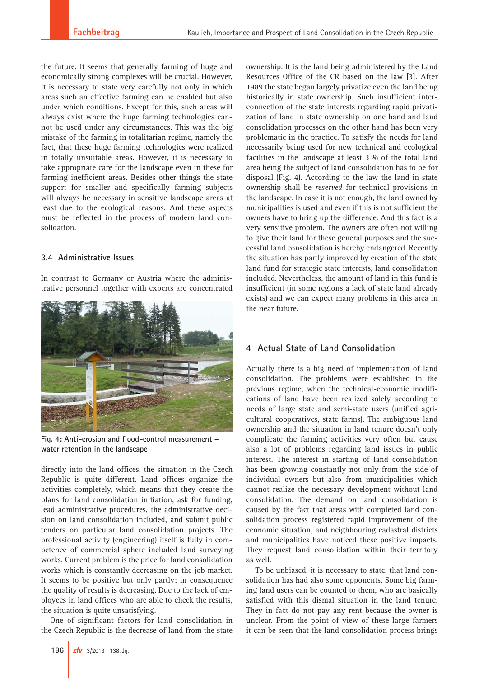the future. It seems that generally farming of huge and economically strong complexes will be crucial. However, it is necessary to state very carefully not only in which areas such an effective farming can be enabled but also under which conditions. Except for this, such areas will always exist where the huge farming technologies cannot be used under any circumstances. This was the big mistake of the farming in totalitarian regime, namely the fact, that these huge farming technologies were realized in totally unsuitable areas. However, it is necessary to take appropriate care for the landscape even in these for farming inefficient areas. Besides other things the state support for smaller and specifically farming subjects will always be necessary in sensitive landscape areas at least due to the ecological reasons. And these aspects must be reflected in the process of modern land consolidation.

#### **3.4 Administrative Issues**

In contrast to Germany or Austria where the administrative personnel together with experts are concentrated



**Fig. 4: Anti-erosion and flood-control measurement – water retention in the landscape**

directly into the land offices, the situation in the Czech Republic is quite different. Land offices organize the activities completely, which means that they create the plans for land consolidation initiation, ask for funding, lead administrative procedures, the administrative decision on land consolidation included, and submit public tenders on particular land consolidation projects. The professional activity (engineering) itself is fully in competence of commercial sphere included land surveying works. Current problem is the price for land consolidation works which is constantly decreasing on the job market. It seems to be positive but only partly; in consequence the quality of results is decreasing. Due to the lack of employees in land offices who are able to check the results, the situation is quite unsatisfying.

One of significant factors for land consolidation in the Czech Republic is the decrease of land from the state

ownership. It is the land being administered by the Land Resources Office of the CR based on the law [3]. After 1989 the state began largely privatize even the land being historically in state ownership. Such insufficient interconnection of the state interests regarding rapid privatization of land in state ownership on one hand and land consolidation processes on the other hand has been very problematic in the practice. To satisfy the needs for land necessarily being used for new technical and ecological facilities in the landscape at least 3 % of the total land area being the subject of land consolidation has to be for disposal (Fig. 4). According to the law the land in state ownership shall be *reserved* for technical provisions in the landscape. In case it is not enough, the land owned by municipalities is used and even if this is not sufficient the owners have to bring up the difference. And this fact is a very sensitive problem. The owners are often not willing to give their land for these general purposes and the successful land consolidation is hereby endangered. Recently the situation has partly improved by creation of the state land fund for strategic state interests, land consolidation included. Nevertheless, the amount of land in this fund is insufficient (in some regions a lack of state land already exists) and we can expect many problems in this area in the near future.

# **4 Actual State of Land Consolidation**

Actually there is a big need of implementation of land consolidation. The problems were established in the previous regime, when the technical-economic modifications of land have been realized solely according to needs of large state and semi-state users (unified agricultural cooperatives, state farms). The ambiguous land ownership and the situation in land tenure doesn't only complicate the farming activities very often but cause also a lot of problems regarding land issues in public interest. The interest in starting of land consolidation has been growing constantly not only from the side of individual owners but also from municipalities which cannot realize the necessary development without land consolidation. The demand on land consolidation is caused by the fact that areas with completed land consolidation process registered rapid improvement of the economic situation, and neighbouring cadastral districts and municipalities have noticed these positive impacts. They request land consolidation within their territory as well.

To be unbiased, it is necessary to state, that land consolidation has had also some opponents. Some big farming land users can be counted to them, who are basically satisfied with this dismal situation in the land tenure. They in fact do not pay any rent because the owner is unclear. From the point of view of these large farmers it can be seen that the land consolidation process brings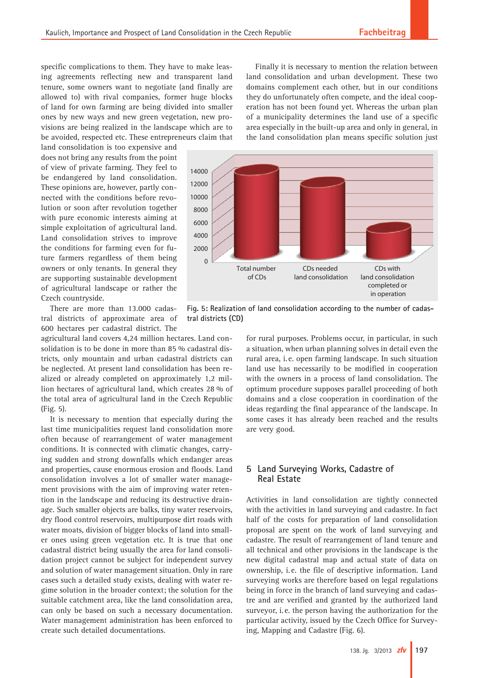specific complications to them. They have to make leasing agreements reflecting new and transparent land tenure, some owners want to negotiate (and finally are allowed to) with rival companies, former huge blocks of land for own farming are being divided into smaller ones by new ways and new green vegetation, new provisions are being realized in the landscape which are to be avoided, respected etc. These entrepreneurs claim that

land consolidation is too expensive and does not bring any results from the point of view of private farming. They feel to be endangered by land consolidation. These opinions are, however, partly connected with the conditions before revolution or soon after revolution together with pure economic interests aiming at simple exploitation of agricultural land. Land consolidation strives to improve the conditions for farming even for future farmers regardless of them being owners or only tenants. In general they are supporting sustainable development of agricultural landscape or rather the Czech countryside.

There are more than 13.000 cadastral districts of approximate area of 600 hectares per cadastral district. The

agricultural land covers 4,24 million hectares. Land consolidation is to be done in more than 85 % cadastral districts, only mountain and urban cadastral districts can be neglected. At present land consolidation has been realized or already completed on approximately 1,2 million hectares of agricultural land, which creates 28 % of the total area of agricultural land in the Czech Republic (Fig. 5).

It is necessary to mention that especially during the last time municipalities request land consolidation more often because of rearrangement of water management conditions. It is connected with climatic changes, carrying sudden and strong downfalls which endanger areas and properties, cause enormous erosion and floods. Land consolidation involves a lot of smaller water management provisions with the aim of improving water retention in the landscape and reducing its destructive drainage. Such smaller objects are balks, tiny water reservoirs, dry flood control reservoirs, multipurpose dirt roads with water moats, division of bigger blocks of land into smaller ones using green vegetation etc. It is true that one cadastral district being usually the area for land consolidation project cannot be subject for independent survey and solution of water management situation. Only in rare cases such a detailed study exists, dealing with water regime solution in the broader context; the solution for the suitable catchment area, like the land consolidation area, can only be based on such a necessary documentation. Water management administration has been enforced to create such detailed documentations.

Finally it is necessary to mention the relation between land consolidation and urban development. These two domains complement each other, but in our conditions they do unfortunately often compete, and the ideal cooperation has not been found yet. Whereas the urban plan of a municipality determines the land use of a specific area especially in the built-up area and only in general, in the land consolidation plan means specific solution just



**Fig. 5: Realization of land consolidation according to the number of cadastral districts (CD)**

for rural purposes. Problems occur, in particular, in such a situation, when urban planning solves in detail even the rural area, i. e. open farming landscape. In such situation land use has necessarily to be modified in cooperation with the owners in a process of land consolidation. The optimum procedure supposes parallel proceeding of both domains and a close cooperation in coordination of the ideas regarding the final appearance of the landscape. In some cases it has already been reached and the results are very good.

## **5 Land Surveying Works, Cadastre of Real Estate**

Activities in land consolidation are tightly connected with the activities in land surveying and cadastre. In fact half of the costs for preparation of land consolidation proposal are spent on the work of land surveying and cadastre. The result of rearrangement of land tenure and all technical and other provisions in the landscape is the new digital cadastral map and actual state of data on ownership, i.e. the file of descriptive information. Land surveying works are therefore based on legal regulations being in force in the branch of land surveying and cadastre and are verified and granted by the authorized land surveyor, i. e. the person having the authorization for the particular activity, issued by the Czech Office for Surveying, Mapping and Cadastre (Fig. 6).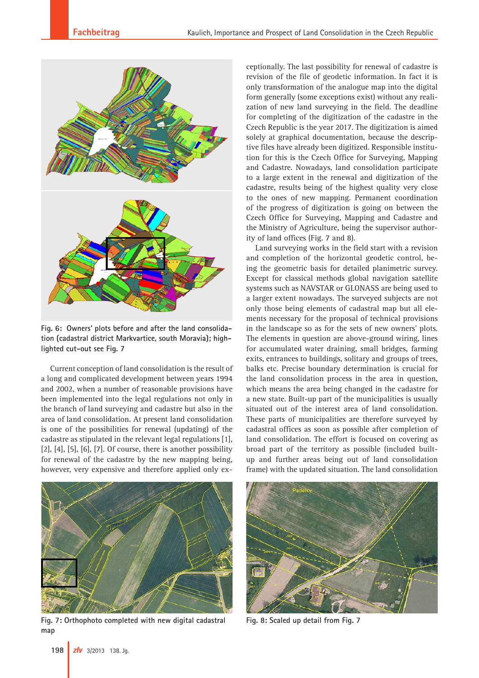

**Fig. 6: Owners' plots before and after the land consolidation (cadastral district Markvartice, south Moravia); highlighted cut-out see Fig. 7**

Current conception of land consolidation is the result of a long and complicated development between years 1994 and 2002, when a number of reasonable provisions have been implemented into the legal regulations not only in the branch of land surveying and cadastre but also in the area of land consolidation. At present land consolidation is one of the possibilities for renewal (updating) of the cadastre as stipulated in the relevant legal regulations [1],  $[2]$ ,  $[4]$ ,  $[5]$ ,  $[6]$ ,  $[7]$ . Of course, there is another possibility for renewal of the cadastre by the new mapping being, however, very expensive and therefore applied only ex-



**Fig. 7: Orthophoto completed with new digital cadastral map**

ceptionally. The last possibility for renewal of cadastre is revision of the file of geodetic information. In fact it is only transformation of the analogue map into the digital form generally (some exceptions exist) without any realization of new land surveying in the field. The deadline for completing of the digitization of the cadastre in the Czech Republic is the year 2017. The digitization is aimed solely at graphical documentation, because the descriptive files have already been digitized. Responsible institution for this is the Czech Office for Surveying, Mapping and Cadastre. Nowadays, land consolidation participate to a large extent in the renewal and digitization of the cadastre, results being of the highest quality very close to the ones of new mapping. Permanent coordination of the progress of digitization is going on between the Czech Office for Surveying, Mapping and Cadastre and the Ministry of Agriculture, being the supervisor authority of land offices (Fig. 7 and 8).

Land surveying works in the field start with a revision and completion of the horizontal geodetic control, being the geometric basis for detailed planimetric survey. Except for classical methods global navigation satellite systems such as NAVSTAR or GLONASS are being used to a larger extent nowadays. The surveyed subjects are not only those being elements of cadastral map but all elements necessary for the proposal of technical provisions in the landscape so as for the sets of new owners' plots. The elements in question are above-ground wiring, lines for accumulated water draining, small bridges, farming exits, entrances to buildings, solitary and groups of trees, balks etc. Precise boundary determination is crucial for the land consolidation process in the area in question, which means the area being changed in the cadastre for a new state. Built-up part of the municipalities is usually situated out of the interest area of land consolidation. These parts of municipalities are therefore surveyed by cadastral offices as soon as possible after completion of land consolidation. The effort is focused on covering as broad part of the territory as possible (included builtup and further areas being out of land consolidation frame) with the updated situation. The land consolidation



**Fig. 8: Scaled up detail from Fig. 7**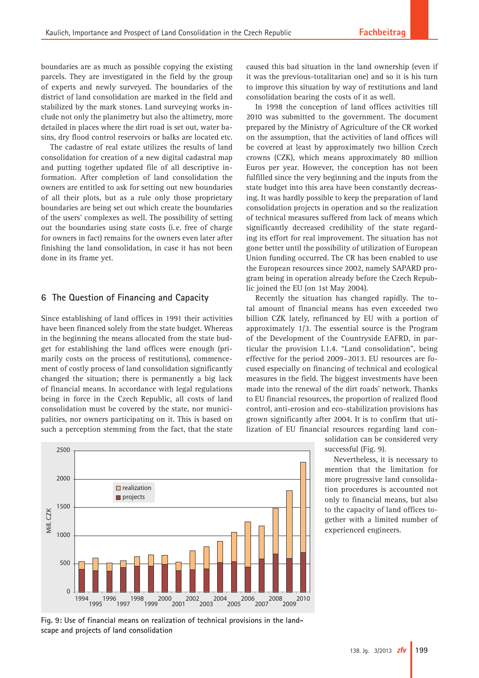boundaries are as much as possible copying the existing parcels. They are investigated in the field by the group of experts and newly surveyed. The boundaries of the district of land consolidation are marked in the field and stabilized by the mark stones. Land surveying works include not only the planimetry but also the altimetry, more detailed in places where the dirt road is set out, water basins, dry flood control reservoirs or balks are located etc.

The cadastre of real estate utilizes the results of land consolidation for creation of a new digital cadastral map and putting together updated file of all descriptive information. After completion of land consolidation the owners are entitled to ask for setting out new boundaries of all their plots, but as a rule only those proprietary boundaries are being set out which create the boundaries of the users' complexes as well. The possibility of setting out the boundaries using state costs (i. e. free of charge for owners in fact) remains for the owners even later after finishing the land consolidation, in case it has not been done in its frame yet.

#### **6 The Question of Financing and Capacity**

Since establishing of land offices in 1991 their activities have been financed solely from the state budget. Whereas in the beginning the means allocated from the state budget for establishing the land offices were enough (primarily costs on the process of restitutions), commencement of costly process of land consolidation significantly changed the situation; there is permanently a big lack of financial means. In accordance with legal regulations being in force in the Czech Republic, all costs of land consolidation must be covered by the state, nor municipalities, nor owners participating on it. This is based on such a perception stemming from the fact, that the state



caused this bad situation in the land ownership (even if it was the previous-totalitarian one) and so it is his turn to improve this situation by way of restitutions and land consolidation bearing the costs of it as well.

In 1998 the conception of land offices activities till 2010 was submitted to the government. The document prepared by the Ministry of Agriculture of the CR worked on the assumption, that the activities of land offices will be covered at least by approximately two billion Czech crowns (CZK), which means approximately 80 million Euros per year. However, the conception has not been fulfilled since the very beginning and the inputs from the state budget into this area have been constantly decreasing. It was hardly possible to keep the preparation of land consolidation projects in operation and so the realization of technical measures suffered from lack of means which significantly decreased credibility of the state regarding its effort for real improvement. The situation has not gone better until the possibility of utilization of European Union funding occurred. The CR has been enabled to use the European resources since 2002, namely SAPARD program being in operation already before the Czech Republic joined the EU (on 1st May 2004).

Recently the situation has changed rapidly. The total amount of financial means has even exceeded two billion CZK lately, refinanced by EU with a portion of approximately 1/3. The essential source is the Program of the Development of the Countryside EAFRD, in particular the provision I.1.4. "Land consolidation", being effective for the period 2009–2013. EU resources are focused especially on financing of technical and ecological measures in the field. The biggest investments have been made into the renewal of the dirt roads' network. Thanks to EU financial resources, the proportion of realized flood control, anti-erosion and eco-stabilization provisions has grown significantly after 2004. It is to confirm that utilization of EU financial resources regarding land con-

> solidation can be considered very successful (Fig. 9).

> Nevertheless, it is necessary to mention that the limitation for more progressive land consolidation procedures is accounted not only to financial means, but also to the capacity of land offices together with a limited number of experienced engineers.

**Fig. 9: Use of financial means on realization of technical provisions in the landscape and projects of land consolidation**